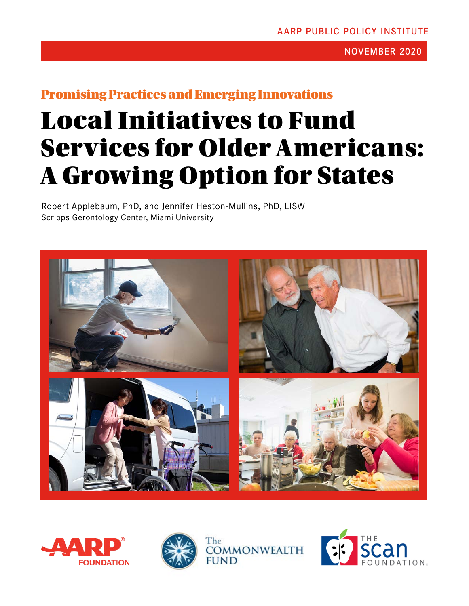# Promising Practices and Emerging Innovations

# Local Initiatives to Fund Services for Older Americans: A Growing Option for States

Robert Applebaum, PhD, and Jennifer Heston-Mullins, PhD, LISW Scripps Gerontology Center, Miami University







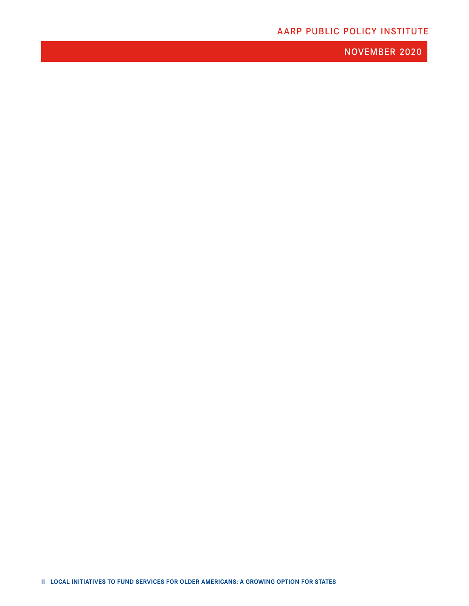## AARP PUBLIC POLICY INSTITUTE

NOVEMBER 2020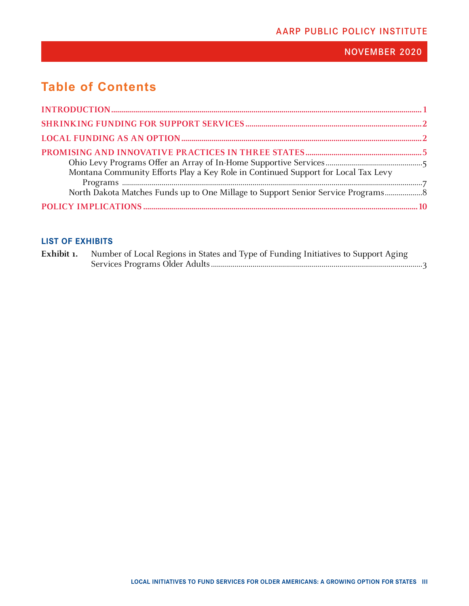# **Table of Contents**

| Montana Community Efforts Play a Key Role in Continued Support for Local Tax Levy |  |
|-----------------------------------------------------------------------------------|--|
|                                                                                   |  |
| North Dakota Matches Funds up to One Millage to Support Senior Service Programs   |  |
|                                                                                   |  |

#### **LIST OF EXHIBITS**

| Exhibit 1. | Number of Local Regions in States and Type of Funding Initiatives to Support Aging |
|------------|------------------------------------------------------------------------------------|
|            |                                                                                    |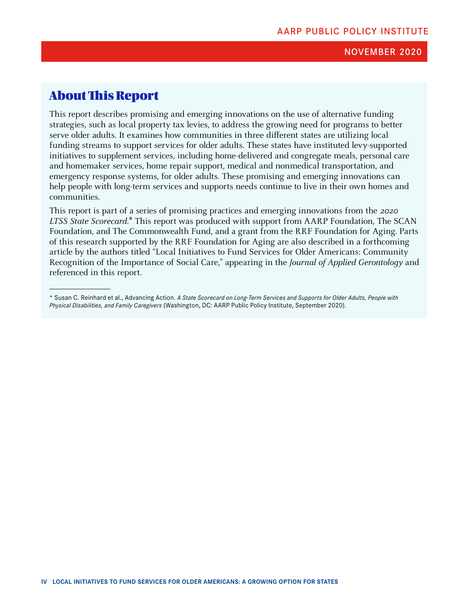## About This Report

This report describes promising and emerging innovations on the use of alternative funding strategies, such as local property tax levies, to address the growing need for programs to better serve older adults. It examines how communities in three different states are utilizing local funding streams to support services for older adults. These states have instituted levy-supported initiatives to supplement services, including home-delivered and congregate meals, personal care and homemaker services, home repair support, medical and nonmedical transportation, and emergency response systems, for older adults. These promising and emerging innovations can help people with long-term services and supports needs continue to live in their own homes and communities.

This report is part of a series of promising practices and emerging innovations from the 2020 LTSS State Scorecard.\* This report was produced with support from AARP Foundation, The SCAN Foundation, and The Commonwealth Fund, and a grant from the RRF Foundation for Aging. Parts of this research supported by the RRF Foundation for Aging are also described in a forthcoming article by the authors titled "Local Initiatives to Fund Services for Older Americans: Community Recognition of the Importance of Social Care," appearing in the Journal of Applied Gerontology and referenced in this report.

<sup>\*</sup> Susan C. Reinhard et al., Advancing Action. *A State Scorecard on Long-Term Services and Supports for Older Adults, People with Physical Disabilities, and Family Caregivers* (Washington, DC: AARP Public Policy Institute, September 2020).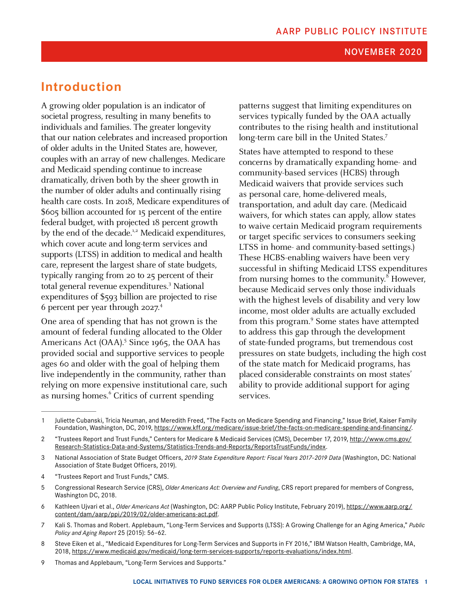## <span id="page-4-0"></span>**Introduction**

A growing older population is an indicator of societal progress, resulting in many benefits to individuals and families. The greater longevity that our nation celebrates and increased proportion of older adults in the United States are, however, couples with an array of new challenges. Medicare and Medicaid spending continue to increase dramatically, driven both by the sheer growth in the number of older adults and continually rising health care costs. In 2018, Medicare expenditures of \$605 billion accounted for 15 percent of the entire federal budget, with projected 18 percent growth by the end of the decade.<sup>1,2</sup> Medicaid expenditures, which cover acute and long-term services and supports (LTSS) in addition to medical and health care, represent the largest share of state budgets, typically ranging from 20 to 25 percent of their total general revenue expenditures.<sup>3</sup> National expenditures of \$593 billion are projected to rise 6 percent per year through 2027.4

One area of spending that has not grown is the amount of federal funding allocated to the Older Americans Act (OAA).<sup>5</sup> Since 1965, the OAA has provided social and supportive services to people ages 60 and older with the goal of helping them live independently in the community, rather than relying on more expensive institutional care, such as nursing homes.<sup>6</sup> Critics of current spending

patterns suggest that limiting expenditures on services typically funded by the OAA actually contributes to the rising health and institutional long-term care bill in the United States.<sup>7</sup>

States have attempted to respond to these concerns by dramatically expanding home- and community-based services (HCBS) through Medicaid waivers that provide services such as personal care, home-delivered meals, transportation, and adult day care. (Medicaid waivers, for which states can apply, allow states to waive certain Medicaid program requirements or target specific services to consumers seeking LTSS in home- and community-based settings.) These HCBS-enabling waivers have been very successful in shifting Medicaid LTSS expenditures from nursing homes to the community.<sup>8</sup> However, because Medicaid serves only those individuals with the highest levels of disability and very low income, most older adults are actually excluded from this program.<sup>9</sup> Some states have attempted to address this gap through the development of state-funded programs, but tremendous cost pressures on state budgets, including the high cost of the state match for Medicaid programs, has placed considerable constraints on most states' ability to provide additional support for aging services.

- 4 "Trustees Report and Trust Funds," CMS.
- 5 Congressional Research Service (CRS), *Older Americans Act: Overview and Funding*, CRS report prepared for members of Congress, Washington DC, 2018.
- 6 Kathleen Ujvari et al., *Older Americans Act* (Washington, DC: AARP Public Policy Institute, February 2019), [https://www.aarp.org/](https://www.aarp.org/content/dam/aarp/ppi/2019/02/older-americans-act.pdf) [content/dam/aarp/ppi/2019/02/older-americans-act.pdf.](https://www.aarp.org/content/dam/aarp/ppi/2019/02/older-americans-act.pdf)
- 7 Kali S. Thomas and Robert. Applebaum, "Long-Term Services and Supports (LTSS): A Growing Challenge for an Aging America," *Public Policy and Aging Report* 25 (2015): 56–62.
- 8 Steve Eiken et al., "Medicaid Expenditures for Long-Term Services and Supports in FY 2016," IBM Watson Health, Cambridge, MA, 2018,<https://www.medicaid.gov/medicaid/long-term-services-supports/reports-evaluations/index.html>.
- 9 Thomas and Applebaum, "Long-Term Services and Supports."

<sup>1</sup> Juliette Cubanski, Tricia Neuman, and Meredith Freed, "The Facts on Medicare Spending and Financing," Issue Brief, Kaiser Family Foundation, Washington, DC, 2019, <https://www.kff.org/medicare/issue-brief/the-facts-on-medicare-spending-and-financing/>.

<sup>2</sup> "Trustees Report and Trust Funds," Centers for Medicare & Medicaid Services (CMS), December 17, 2019, [http://www.cms.gov/](http://www.cms.gov/Research-Statistics-Data-and-Systems/Statistics-Trends-and-Reports/ReportsTrustFunds/index) [Research-Statistics-Data-and-Systems/Statistics-Trends-and-Reports/ReportsTrustFunds/index](http://www.cms.gov/Research-Statistics-Data-and-Systems/Statistics-Trends-and-Reports/ReportsTrustFunds/index).

<sup>3</sup> National Association of State Budget Officers, *2019 State Expenditure Report: Fiscal Years 2017–2019 Data* (Washington, DC: National Association of State Budget Officers, 2019).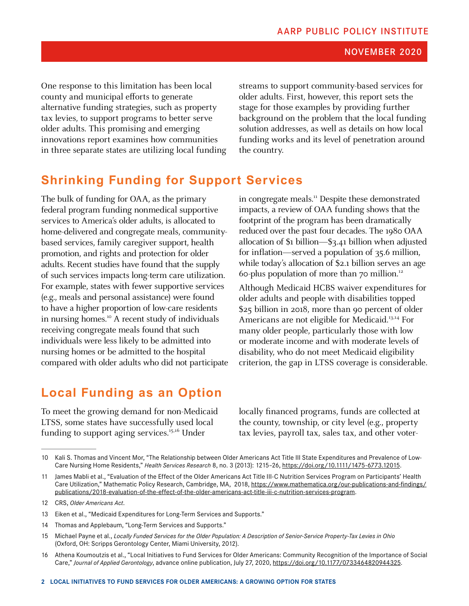<span id="page-5-0"></span>One response to this limitation has been local county and municipal efforts to generate alternative funding strategies, such as property tax levies, to support programs to better serve older adults. This promising and emerging innovations report examines how communities in three separate states are utilizing local funding streams to support community-based services for older adults. First, however, this report sets the stage for those examples by providing further background on the problem that the local funding solution addresses, as well as details on how local funding works and its level of penetration around the country.

# **Shrinking Funding for Support Services**

The bulk of funding for OAA, as the primary federal program funding nonmedical supportive services to America's older adults, is allocated to home-delivered and congregate meals, communitybased services, family caregiver support, health promotion, and rights and protection for older adults. Recent studies have found that the supply of such services impacts long-term care utilization. For example, states with fewer supportive services (e.g., meals and personal assistance) were found to have a higher proportion of low-care residents in nursing homes.<sup>10</sup> A recent study of individuals receiving congregate meals found that such individuals were less likely to be admitted into nursing homes or be admitted to the hospital compared with older adults who did not participate

# **Local Funding as an Option**

To meet the growing demand for non-Medicaid LTSS, some states have successfully used local funding to support aging services.<sup>15,16</sup> Under

in congregate meals.<sup>11</sup> Despite these demonstrated impacts, a review of OAA funding shows that the footprint of the program has been dramatically reduced over the past four decades. The 1980 OAA allocation of \$1 billion—\$3.41 billion when adjusted for inflation—served a population of 35.6 million, while today's allocation of \$2.1 billion serves an age 60-plus population of more than  $70$  million.<sup>12</sup>

Although Medicaid HCBS waiver expenditures for older adults and people with disabilities topped \$25 billion in 2018, more than 90 percent of older Americans are not eligible for Medicaid.<sup>13,14</sup> For many older people, particularly those with low or moderate income and with moderate levels of disability, who do not meet Medicaid eligibility criterion, the gap in LTSS coverage is considerable.

locally financed programs, funds are collected at the county, township, or city level (e.g., property tax levies, payroll tax, sales tax, and other voter-

- 13 Eiken et al., "Medicaid Expenditures for Long-Term Services and Supports."
- 14 Thomas and Applebaum, "Long-Term Services and Supports."
- 15 Michael Payne et al., *Locally Funded Services for the Older Population: A Description of Senior-Service Property-Tax Levies in Ohio* (Oxford, OH: Scripps Gerontology Center, Miami University, 2012).
- 16 Athena Koumoutzis et al., "Local Initiatives to Fund Services for Older Americans: Community Recognition of the Importance of Social Care," *Journal of Applied Gerontology*, advance online publication, July 27, 2020,<https://doi.org/10.1177/0733464820944325>.

<sup>10</sup> Kali S. Thomas and Vincent Mor, "The Relationship between Older Americans Act Title III State Expenditures and Prevalence of Low-Care Nursing Home Residents," *Health Services Research* 8, no. 3 (2013): 1215–26, <https://doi.org/10.1111/1475-6773.12015>.

<sup>11</sup> James Mabli et al., "Evaluation of the Effect of the Older Americans Act Title III-C Nutrition Services Program on Participants' Health Care Utilization," Mathematic Policy Research, Cambridge, MA, 2018, [https://www.mathematica.org/our-publications-and-findings/](https://www.mathematica.org/our-publications-and-findings/publications/2018-evaluation-of-the-effect-of-the-older-americans-act-title-iii-c-nutrition-services-program) [publications/2018-evaluation-of-the-effect-of-the-older-americans-act-title-iii-c-nutrition-services-program](https://www.mathematica.org/our-publications-and-findings/publications/2018-evaluation-of-the-effect-of-the-older-americans-act-title-iii-c-nutrition-services-program).

<sup>12</sup> CRS, *Older Americans Act*.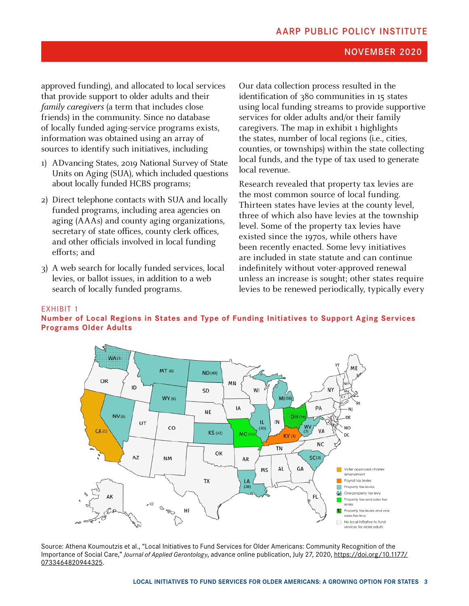<span id="page-6-0"></span>approved funding), and allocated to local services that provide support to older adults and their family caregivers (a term that includes close friends) in the community. Since no database of locally funded aging-service programs exists, information was obtained using an array of sources to identify such initiatives, including

- 1) ADvancing States, 2019 National Survey of State Units on Aging (SUA), which included questions about locally funded HCBS programs;
- 2) Direct telephone contacts with SUA and locally funded programs, including area agencies on aging (AAAs) and county aging organizations, secretary of state offices, county clerk offices, and other officials involved in local funding efforts; and
- 3) A web search for locally funded services, local levies, or ballot issues, in addition to a web search of locally funded programs.

Our data collection process resulted in the identification of 380 communities in 15 states using local funding streams to provide supportive services for older adults and/or their family caregivers. The map in exhibit 1 highlights the states, number of local regions (i.e., cities, counties, or townships) within the state collecting local funds, and the type of tax used to generate local revenue.

Research revealed that property tax levies are the most common source of local funding. Thirteen states have levies at the county level, three of which also have levies at the township level. Some of the property tax levies have existed since the 1970s, while others have been recently enacted. Some levy initiatives are included in state statute and can continue indefinitely without voter-approved renewal unless an increase is sought; other states require levies to be renewed periodically, typically every

#### EXHIBIT 1

#### **Number of Local Regions in States and Type of Funding Initiatives to Support Aging Services Programs Older Adults**



Source: Athena Koumoutzis et al., "Local Initiatives to Fund Services for Older Americans: Community Recognition of the Importance of Social Care," *Journal of Applied Gerontolog*y, advance online publication, July 27, 2020, [https://doi.org/10.1177/](https://doi.org/10.1177/0733464820944325) [0733464820944325.](https://doi.org/10.1177/0733464820944325)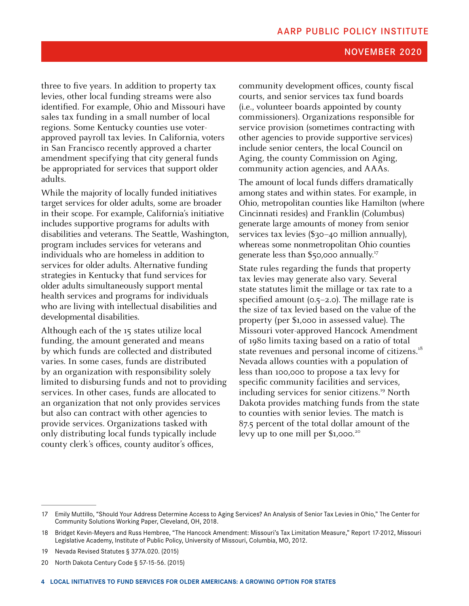three to five years. In addition to property tax levies, other local funding streams were also identified. For example, Ohio and Missouri have sales tax funding in a small number of local regions. Some Kentucky counties use voterapproved payroll tax levies. In California, voters in San Francisco recently approved a charter amendment specifying that city general funds be appropriated for services that support older adults.

While the majority of locally funded initiatives target services for older adults, some are broader in their scope. For example, California's initiative includes supportive programs for adults with disabilities and veterans. The Seattle, Washington, program includes services for veterans and individuals who are homeless in addition to services for older adults. Alternative funding strategies in Kentucky that fund services for older adults simultaneously support mental health services and programs for individuals who are living with intellectual disabilities and developmental disabilities.

Although each of the 15 states utilize local funding, the amount generated and means by which funds are collected and distributed varies. In some cases, funds are distributed by an organization with responsibility solely limited to disbursing funds and not to providing services. In other cases, funds are allocated to an organization that not only provides services but also can contract with other agencies to provide services. Organizations tasked with only distributing local funds typically include county clerk's offices, county auditor's offices,

community development offices, county fiscal courts, and senior services tax fund boards (i.e., volunteer boards appointed by county commissioners). Organizations responsible for service provision (sometimes contracting with other agencies to provide supportive services) include senior centers, the local Council on Aging, the county Commission on Aging, community action agencies, and AAAs.

The amount of local funds differs dramatically among states and within states. For example, in Ohio, metropolitan counties like Hamilton (where Cincinnati resides) and Franklin (Columbus) generate large amounts of money from senior services tax levies (\$30–40 million annually), whereas some nonmetropolitan Ohio counties generate less than \$50,000 annually.<sup>17</sup>

State rules regarding the funds that property tax levies may generate also vary. Several state statutes limit the millage or tax rate to a specified amount (0.5–2.0). The millage rate is the size of tax levied based on the value of the property (per \$1,000 in assessed value). The Missouri voter-approved Hancock Amendment of 1980 limits taxing based on a ratio of total state revenues and personal income of citizens.<sup>18</sup> Nevada allows counties with a population of less than 100,000 to propose a tax levy for specific community facilities and services, including services for senior citizens.<sup>19</sup> North Dakota provides matching funds from the state to counties with senior levies. The match is 87.5 percent of the total dollar amount of the levy up to one mill per  $$1,000.<sup>20</sup>$ 

<sup>17</sup> Emily Muttillo, "Should Your Address Determine Access to Aging Services? An Analysis of Senior Tax Levies in Ohio," The Center for Community Solutions Working Paper, Cleveland, OH, 2018.

<sup>18</sup> Bridget Kevin-Meyers and Russ Hembree, "The Hancock Amendment: Missouri's Tax Limitation Measure," Report 17-2012, Missouri Legislative Academy, Institute of Public Policy, University of Missouri, Columbia, MO, 2012.

<sup>19</sup> Nevada Revised Statutes § 377A.020. (2015)

<sup>20</sup> North Dakota Century Code § 57-15-56. (2015)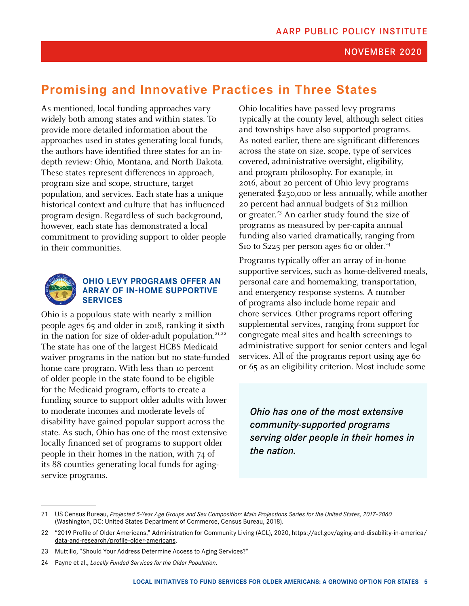## <span id="page-8-0"></span>**Promising and Innovative Practices in Three States**

As mentioned, local funding approaches vary widely both among states and within states. To provide more detailed information about the approaches used in states generating local funds, the authors have identified three states for an indepth review: Ohio, Montana, and North Dakota. These states represent differences in approach, program size and scope, structure, target population, and services. Each state has a unique historical context and culture that has influenced program design. Regardless of such background, however, each state has demonstrated a local commitment to providing support to older people in their communities.



#### **OHIO LEVY PROGRAMS OFFER AN ARRAY OF IN-HOME SUPPORTIVE SERVICES**

Ohio is a populous state with nearly 2 million people ages 65 and older in 2018, ranking it sixth in the nation for size of older-adult population.<sup>21,22</sup> The state has one of the largest HCBS Medicaid waiver programs in the nation but no state-funded home care program. With less than 10 percent of older people in the state found to be eligible for the Medicaid program, efforts to create a funding source to support older adults with lower to moderate incomes and moderate levels of disability have gained popular support across the state. As such, Ohio has one of the most extensive locally financed set of programs to support older people in their homes in the nation, with 74 of its 88 counties generating local funds for agingservice programs.

Ohio localities have passed levy programs typically at the county level, although select cities and townships have also supported programs. As noted earlier, there are significant differences across the state on size, scope, type of services covered, administrative oversight, eligibility, and program philosophy. For example, in 2016, about 20 percent of Ohio levy programs generated \$250,000 or less annually, while another 20 percent had annual budgets of \$12 million or greater.<sup>23</sup> An earlier study found the size of programs as measured by per-capita annual funding also varied dramatically, ranging from \$10 to \$225 per person ages 60 or older.<sup>24</sup>

Programs typically offer an array of in-home supportive services, such as home-delivered meals, personal care and homemaking, transportation, and emergency response systems. A number of programs also include home repair and chore services. Other programs report offering supplemental services, ranging from support for congregate meal sites and health screenings to administrative support for senior centers and legal services. All of the programs report using age 60 or 65 as an eligibility criterion. Most include some

*Ohio has one of the most extensive community-supported programs serving older people in their homes in the nation.*

<sup>21</sup> US Census Bureau, *Projected 5-Year Age Groups and Sex Composition: Main Projections Series for the United States, 2017–2060* (Washington, DC: United States Department of Commerce, Census Bureau, 2018).

<sup>22 &</sup>quot;2019 Profile of Older Americans," Administration for Community Living (ACL), 2020, [https://acl.gov/aging-and-disability-in-america/](https://acl.gov/aging-and-disability-in-america/data-and-research/profile-older-americans) [data-and-research/profile-older-americans](https://acl.gov/aging-and-disability-in-america/data-and-research/profile-older-americans).

<sup>23</sup> Muttillo, "Should Your Address Determine Access to Aging Services?"

<sup>24</sup> Payne et al., *Locally Funded Services for the Older Population*.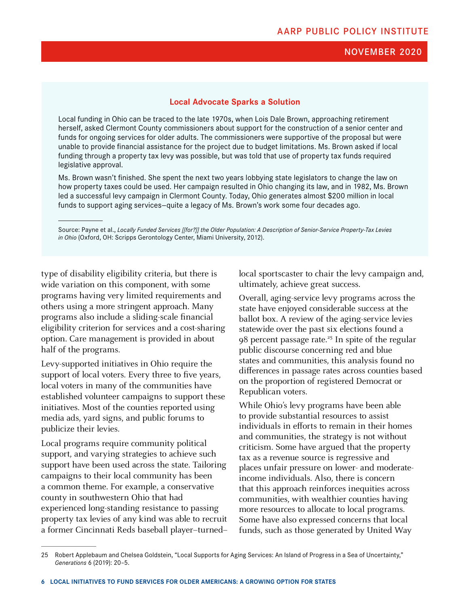#### **Local Advocate Sparks a Solution**

Local funding in Ohio can be traced to the late 1970s, when Lois Dale Brown, approaching retirement herself, asked Clermont County commissioners about support for the construction of a senior center and funds for ongoing services for older adults. The commissioners were supportive of the proposal but were unable to provide financial assistance for the project due to budget limitations. Ms. Brown asked if local funding through a property tax levy was possible, but was told that use of property tax funds required legislative approval.

Ms. Brown wasn't finished. She spent the next two years lobbying state legislators to change the law on how property taxes could be used. Her campaign resulted in Ohio changing its law, and in 1982, Ms. Brown led a successful levy campaign in Clermont County. Today, Ohio generates almost \$200 million in local funds to support aging services—quite a legacy of Ms. Brown's work some four decades ago.

Source: Payne et al., *Locally Funded Services [[for?]] the Older Population: A Description of Senior-Service Property-Tax Levies in Ohio* (Oxford, OH: Scripps Gerontology Center, Miami University, 2012).

type of disability eligibility criteria, but there is wide variation on this component, with some programs having very limited requirements and others using a more stringent approach. Many programs also include a sliding-scale financial eligibility criterion for services and a cost-sharing option. Care management is provided in about half of the programs.

Levy-supported initiatives in Ohio require the support of local voters. Every three to five years, local voters in many of the communities have established volunteer campaigns to support these initiatives. Most of the counties reported using media ads, yard signs, and public forums to publicize their levies.

Local programs require community political support, and varying strategies to achieve such support have been used across the state. Tailoring campaigns to their local community has been a common theme. For example, a conservative county in southwestern Ohio that had experienced long-standing resistance to passing property tax levies of any kind was able to recruit a former Cincinnati Reds baseball player–turned–

local sportscaster to chair the levy campaign and, ultimately, achieve great success.

Overall, aging-service levy programs across the state have enjoyed considerable success at the ballot box. A review of the aging-service levies statewide over the past six elections found a 98 percent passage rate.<sup>25</sup> In spite of the regular public discourse concerning red and blue states and communities, this analysis found no differences in passage rates across counties based on the proportion of registered Democrat or Republican voters.

While Ohio's levy programs have been able to provide substantial resources to assist individuals in efforts to remain in their homes and communities, the strategy is not without criticism. Some have argued that the property tax as a revenue source is regressive and places unfair pressure on lower- and moderateincome individuals. Also, there is concern that this approach reinforces inequities across communities, with wealthier counties having more resources to allocate to local programs. Some have also expressed concerns that local funds, such as those generated by United Way

<sup>25</sup> Robert Applebaum and Chelsea Goldstein, "Local Supports for Aging Services: An Island of Progress in a Sea of Uncertainty," *Generations* 6 (2019): 20–5.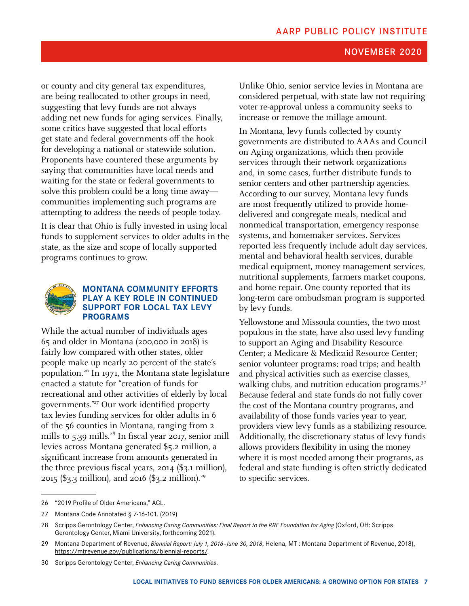<span id="page-10-0"></span>or county and city general tax expenditures, are being reallocated to other groups in need, suggesting that levy funds are not always adding net new funds for aging services. Finally, some critics have suggested that local efforts get state and federal governments off the hook for developing a national or statewide solution. Proponents have countered these arguments by saying that communities have local needs and waiting for the state or federal governments to solve this problem could be a long time away communities implementing such programs are attempting to address the needs of people today.

It is clear that Ohio is fully invested in using local funds to supplement services to older adults in the state, as the size and scope of locally supported programs continues to grow.



#### **MONTANA COMMUNITY EFFORTS PLAY A KEY ROLE IN CONTINUED SUPPORT FOR LOCAL TAX LEVY PROGRAMS**

While the actual number of individuals ages 65 and older in Montana (200,000 in 2018) is fairly low compared with other states, older people make up nearly 20 percent of the state's population.26 In 1971, the Montana state legislature enacted a statute for "creation of funds for recreational and other activities of elderly by local governments."27 Our work identified property tax levies funding services for older adults in 6 of the 56 counties in Montana, ranging from 2 mills to 5.39 mills.<sup>28</sup> In fiscal year 2017, senior mill levies across Montana generated \$5.2 million, a significant increase from amounts generated in the three previous fiscal years, 2014 (\$3.1 million), 2015 (\$3.3 million), and 2016 (\$3.2 million).<sup>29</sup>

Unlike Ohio, senior service levies in Montana are considered perpetual, with state law not requiring voter re-approval unless a community seeks to increase or remove the millage amount.

In Montana, levy funds collected by county governments are distributed to AAAs and Council on Aging organizations, which then provide services through their network organizations and, in some cases, further distribute funds to senior centers and other partnership agencies. According to our survey, Montana levy funds are most frequently utilized to provide homedelivered and congregate meals, medical and nonmedical transportation, emergency response systems, and homemaker services. Services reported less frequently include adult day services, mental and behavioral health services, durable medical equipment, money management services, nutritional supplements, farmers market coupons, and home repair. One county reported that its long-term care ombudsman program is supported by levy funds.

Yellowstone and Missoula counties, the two most populous in the state, have also used levy funding to support an Aging and Disability Resource Center; a Medicare & Medicaid Resource Center; senior volunteer programs; road trips; and health and physical activities such as exercise classes, walking clubs, and nutrition education programs.<sup>30</sup> Because federal and state funds do not fully cover the cost of the Montana country programs, and availability of those funds varies year to year, providers view levy funds as a stabilizing resource. Additionally, the discretionary status of levy funds allows providers flexibility in using the money where it is most needed among their programs, as federal and state funding is often strictly dedicated to specific services.

<sup>26</sup> "2019 Profile of Older Americans," ACL.

<sup>27</sup> Montana Code Annotated § 7-16-101. (2019)

<sup>28</sup> Scripps Gerontology Center, *Enhancing Caring Communities: Final Report to the RRF Foundation for Aging* (Oxford, OH: Scripps Gerontology Center, Miami University, forthcoming 2021).

<sup>29</sup> Montana Department of Revenue, *Biennial Report: July 1, 2016–June 30, 2018*, Helena, MT : Montana Department of Revenue, 2018), [https://mtrevenue.gov/publications/biennial-reports/.](https://mtrevenue.gov/publications/biennial-reports/)

<sup>30</sup> Scripps Gerontology Center, *Enhancing Caring Communities*.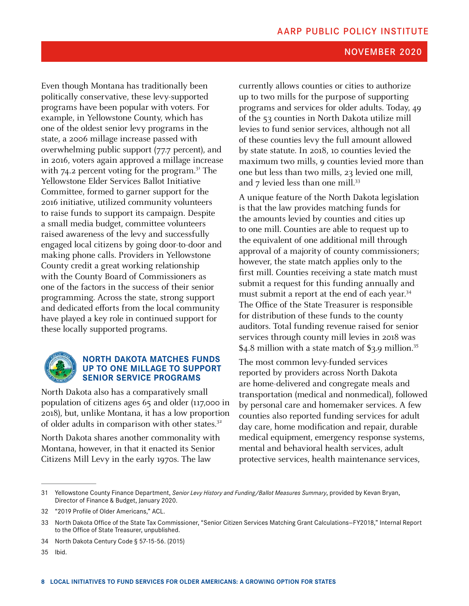<span id="page-11-0"></span>Even though Montana has traditionally been politically conservative, these levy-supported programs have been popular with voters. For example, in Yellowstone County, which has one of the oldest senior levy programs in the state, a 2006 millage increase passed with overwhelming public support (77.7 percent), and in 2016, voters again approved a millage increase with 74.2 percent voting for the program.<sup>31</sup> The Yellowstone Elder Services Ballot Initiative Committee, formed to garner support for the 2016 initiative, utilized community volunteers to raise funds to support its campaign. Despite a small media budget, committee volunteers raised awareness of the levy and successfully engaged local citizens by going door-to-door and making phone calls. Providers in Yellowstone County credit a great working relationship with the County Board of Commissioners as one of the factors in the success of their senior programming. Across the state, strong support and dedicated efforts from the local community have played a key role in continued support for these locally supported programs.



#### **NORTH DAKOTA MATCHES FUNDS UP TO ONE MILLAGE TO SUPPORT SENIOR SERVICE PROGRAMS**

North Dakota also has a comparatively small population of citizens ages 65 and older (117,000 in 2018), but, unlike Montana, it has a low proportion of older adults in comparison with other states. $3<sup>2</sup>$ 

North Dakota shares another commonality with Montana, however, in that it enacted its Senior Citizens Mill Levy in the early 1970s. The law

currently allows counties or cities to authorize up to two mills for the purpose of supporting programs and services for older adults. Today, 49 of the 53 counties in North Dakota utilize mill levies to fund senior services, although not all of these counties levy the full amount allowed by state statute. In 2018, 10 counties levied the maximum two mills, 9 counties levied more than one but less than two mills, 23 levied one mill, and  $7$  levied less than one mill.<sup>33</sup>

A unique feature of the North Dakota legislation is that the law provides matching funds for the amounts levied by counties and cities up to one mill. Counties are able to request up to the equivalent of one additional mill through approval of a majority of county commissioners; however, the state match applies only to the first mill. Counties receiving a state match must submit a request for this funding annually and must submit a report at the end of each year.<sup>34</sup> The Office of the State Treasurer is responsible for distribution of these funds to the county auditors. Total funding revenue raised for senior services through county mill levies in 2018 was \$4.8 million with a state match of \$3.9 million.<sup>35</sup>

The most common levy-funded services reported by providers across North Dakota are home-delivered and congregate meals and transportation (medical and nonmedical), followed by personal care and homemaker services. A few counties also reported funding services for adult day care, home modification and repair, durable medical equipment, emergency response systems, mental and behavioral health services, adult protective services, health maintenance services,

- 34 North Dakota Century Code § 57-15-56. (2015)
- 35 Ibid.

<sup>31</sup> Yellowstone County Finance Department, *Senior Levy History and Funding/Ballot Measures Summary*, provided by Kevan Bryan, Director of Finance & Budget, January 2020.

<sup>32</sup> "2019 Profile of Older Americans," ACL.

<sup>33</sup> North Dakota Office of the State Tax Commissioner, "Senior Citizen Services Matching Grant Calculations—FY2018," Internal Report to the Office of State Treasurer, unpublished.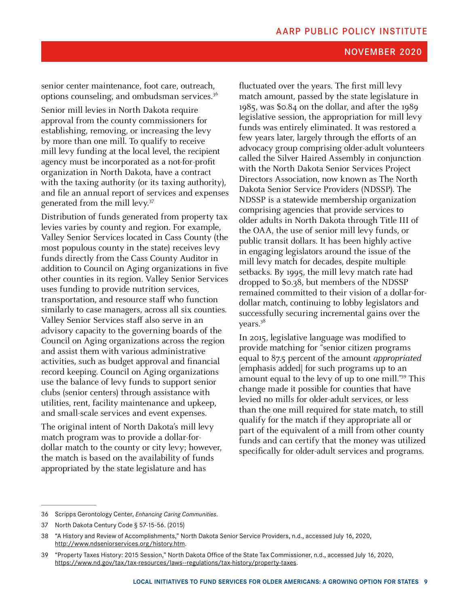senior center maintenance, foot care, outreach, options counseling, and ombudsman services.<sup>36</sup>

Senior mill levies in North Dakota require approval from the county commissioners for establishing, removing, or increasing the levy by more than one mill. To qualify to receive mill levy funding at the local level, the recipient agency must be incorporated as a not-for-profit organization in North Dakota, have a contract with the taxing authority (or its taxing authority), and file an annual report of services and expenses generated from the mill levy.37

Distribution of funds generated from property tax levies varies by county and region. For example, Valley Senior Services located in Cass County (the most populous county in the state) receives levy funds directly from the Cass County Auditor in addition to Council on Aging organizations in five other counties in its region. Valley Senior Services uses funding to provide nutrition services, transportation, and resource staff who function similarly to case managers, across all six counties. Valley Senior Services staff also serve in an advisory capacity to the governing boards of the Council on Aging organizations across the region and assist them with various administrative activities, such as budget approval and financial record keeping. Council on Aging organizations use the balance of levy funds to support senior clubs (senior centers) through assistance with utilities, rent, facility maintenance and upkeep, and small-scale services and event expenses.

The original intent of North Dakota's mill levy match program was to provide a dollar-fordollar match to the county or city levy; however, the match is based on the availability of funds appropriated by the state legislature and has

fluctuated over the years. The first mill levy match amount, passed by the state legislature in 1985, was \$0.84 on the dollar, and after the 1989 legislative session, the appropriation for mill levy funds was entirely eliminated. It was restored a few years later, largely through the efforts of an advocacy group comprising older-adult volunteers called the Silver Haired Assembly in conjunction with the North Dakota Senior Services Project Directors Association, now known as The North Dakota Senior Service Providers (NDSSP). The NDSSP is a statewide membership organization comprising agencies that provide services to older adults in North Dakota through Title III of the OAA, the use of senior mill levy funds, or public transit dollars. It has been highly active in engaging legislators around the issue of the mill levy match for decades, despite multiple setbacks. By 1995, the mill levy match rate had dropped to \$0.38, but members of the NDSSP remained committed to their vision of a dollar-fordollar match, continuing to lobby legislators and successfully securing incremental gains over the years.<sup>38</sup>

In 2015, legislative language was modified to provide matching for "senior citizen programs equal to 87.5 percent of the amount appropriated [emphasis added] for such programs up to an amount equal to the levy of up to one mill."39 This change made it possible for counties that have levied no mills for older-adult services, or less than the one mill required for state match, to still qualify for the match if they appropriate all or part of the equivalent of a mill from other county funds and can certify that the money was utilized specifically for older-adult services and programs.

<sup>36</sup> Scripps Gerontology Center, *Enhancing Caring Communities*.

<sup>37</sup> North Dakota Century Code § 57-15-56. (2015)

<sup>38</sup> "A History and Review of Accomplishments," North Dakota Senior Service Providers, n.d., accessed July 16, 2020, <http://www.ndseniorservices.org/history.htm>.

<sup>39</sup> "Property Taxes History: 2015 Session," North Dakota Office of the State Tax Commissioner, n.d., accessed July 16, 2020, [https://www.nd.gov/tax/tax-resources/laws--regulations/tax-history/property-taxes.](https://www.nd.gov/tax/tax-resources/laws--regulations/tax-history/property-taxes)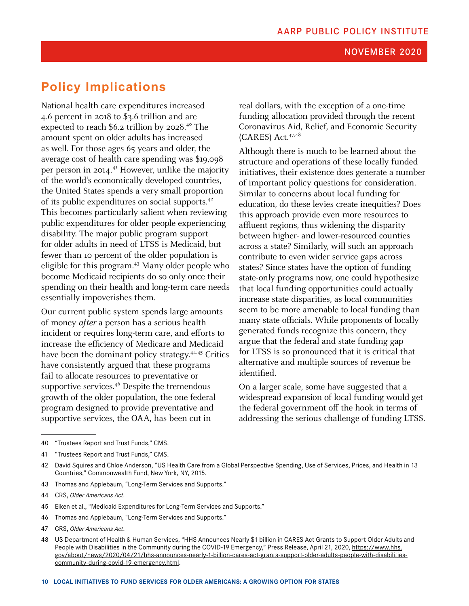## <span id="page-13-0"></span>**Policy Implications**

National health care expenditures increased 4.6 percent in 2018 to \$3.6 trillion and are expected to reach \$6.2 trillion by 2028.<sup>40</sup> The amount spent on older adults has increased as well. For those ages 65 years and older, the average cost of health care spending was \$19,098 per person in 2014.<sup>41</sup> However, unlike the majority of the world's economically developed countries, the United States spends a very small proportion of its public expenditures on social supports.<sup>42</sup> This becomes particularly salient when reviewing public expenditures for older people experiencing disability. The major public program support for older adults in need of LTSS is Medicaid, but fewer than 10 percent of the older population is eligible for this program.<sup>43</sup> Many older people who become Medicaid recipients do so only once their spending on their health and long-term care needs essentially impoverishes them.

Our current public system spends large amounts of money after a person has a serious health incident or requires long-term care, and efforts to increase the efficiency of Medicare and Medicaid have been the dominant policy strategy.<sup>44,45</sup> Critics have consistently argued that these programs fail to allocate resources to preventative or supportive services. $4^6$  Despite the tremendous growth of the older population, the one federal program designed to provide preventative and supportive services, the OAA, has been cut in

real dollars, with the exception of a one-time funding allocation provided through the recent Coronavirus Aid, Relief, and Economic Security  $(CARES)$  Act.  $47.48$ 

Although there is much to be learned about the structure and operations of these locally funded initiatives, their existence does generate a number of important policy questions for consideration. Similar to concerns about local funding for education, do these levies create inequities? Does this approach provide even more resources to affluent regions, thus widening the disparity between higher- and lower-resourced counties across a state? Similarly, will such an approach contribute to even wider service gaps across states? Since states have the option of funding state-only programs now, one could hypothesize that local funding opportunities could actually increase state disparities, as local communities seem to be more amenable to local funding than many state officials. While proponents of locally generated funds recognize this concern, they argue that the federal and state funding gap for LTSS is so pronounced that it is critical that alternative and multiple sources of revenue be identified.

On a larger scale, some have suggested that a widespread expansion of local funding would get the federal government off the hook in terms of addressing the serious challenge of funding LTSS.

- 46 Thomas and Applebaum, "Long-Term Services and Supports."
- 47 CRS, *Older Americans Act*.

<sup>40</sup> "Trustees Report and Trust Funds," CMS.

<sup>41</sup> "Trustees Report and Trust Funds," CMS.

<sup>42</sup> David Squires and Chloe Anderson, "US Health Care from a Global Perspective Spending, Use of Services, Prices, and Health in 13 Countries," Commonwealth Fund, New York, NY, 2015.

<sup>43</sup> Thomas and Applebaum, "Long-Term Services and Supports."

<sup>44</sup> CRS, *Older Americans Act*.

<sup>45</sup> Eiken et al., "Medicaid Expenditures for Long-Term Services and Supports."

<sup>48</sup> US Department of Health & Human Services, "HHS Announces Nearly \$1 billion in CARES Act Grants to Support Older Adults and People with Disabilities in the Community during the COVID-19 Emergency," Press Release, April 21, 2020, https://www.hhs. gov/about/news/2020/04/21/hhs-announces-nearly-1-billion-cares-act-grants-support-older-adults-people-with-disabilitiescommunity-during-covid-19-emergency.html.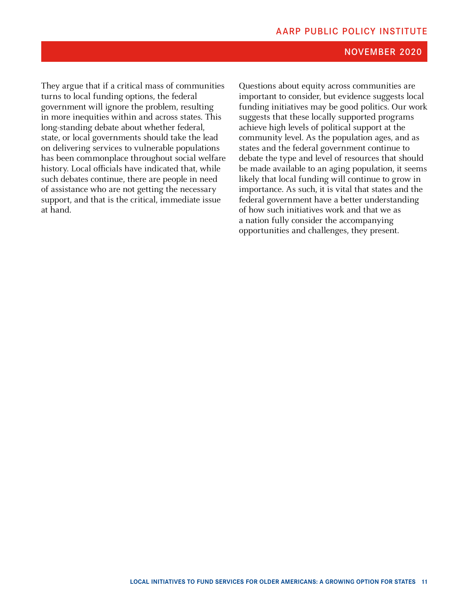They argue that if a critical mass of communities turns to local funding options, the federal government will ignore the problem, resulting in more inequities within and across states. This long-standing debate about whether federal, state, or local governments should take the lead on delivering services to vulnerable populations has been commonplace throughout social welfare history. Local officials have indicated that, while such debates continue, there are people in need of assistance who are not getting the necessary support, and that is the critical, immediate issue at hand.

Questions about equity across communities are important to consider, but evidence suggests local funding initiatives may be good politics. Our work suggests that these locally supported programs achieve high levels of political support at the community level. As the population ages, and as states and the federal government continue to debate the type and level of resources that should be made available to an aging population, it seems likely that local funding will continue to grow in importance. As such, it is vital that states and the federal government have a better understanding of how such initiatives work and that we as a nation fully consider the accompanying opportunities and challenges, they present.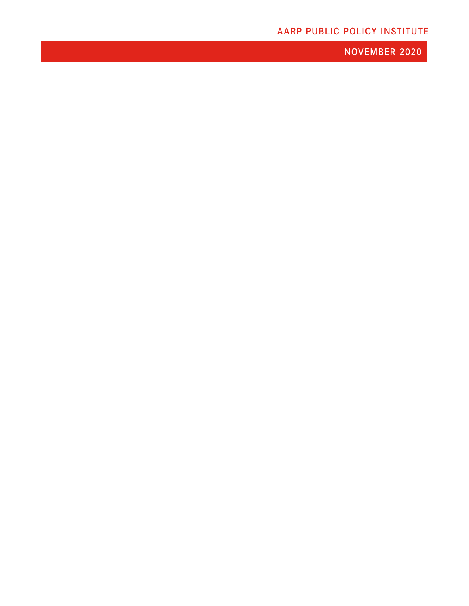## AARP PUBLIC POLICY INSTITUTE

NOVEMBER 2020